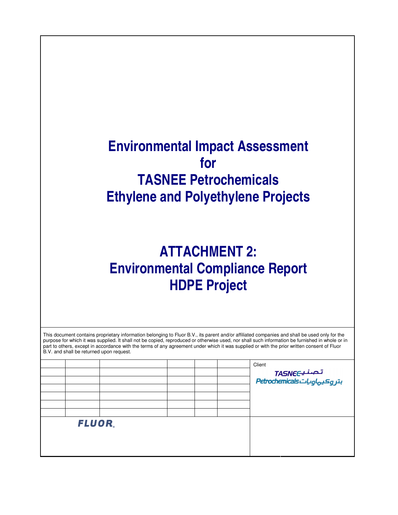## **Environmental Impact Assessment for TASNEE Petrochemicals Ethylene and Polyethylene Projects**

## **ATTACHMENT 2: Environmental Compliance Report HDPE Project**

| B.V. and shall be returned upon request. |  |  | This document contains proprietary information belonging to Fluor B.V., its parent and/or affiliated companies and shall be used only for the<br>purpose for which it was supplied. It shall not be copied, reproduced or otherwise used, nor shall such information be furnished in whole or in<br>part to others, except in accordance with the terms of any agreement under which it was supplied or with the prior written consent of Fluor |
|------------------------------------------|--|--|-------------------------------------------------------------------------------------------------------------------------------------------------------------------------------------------------------------------------------------------------------------------------------------------------------------------------------------------------------------------------------------------------------------------------------------------------|
|                                          |  |  | Client                                                                                                                                                                                                                                                                                                                                                                                                                                          |
|                                          |  |  |                                                                                                                                                                                                                                                                                                                                                                                                                                                 |
|                                          |  |  | تـمـنـيــTASNEC<br>بتر وكيهاوياتEdrochemicals                                                                                                                                                                                                                                                                                                                                                                                                   |
|                                          |  |  |                                                                                                                                                                                                                                                                                                                                                                                                                                                 |
|                                          |  |  |                                                                                                                                                                                                                                                                                                                                                                                                                                                 |
|                                          |  |  |                                                                                                                                                                                                                                                                                                                                                                                                                                                 |
|                                          |  |  |                                                                                                                                                                                                                                                                                                                                                                                                                                                 |
| FLUOR.                                   |  |  |                                                                                                                                                                                                                                                                                                                                                                                                                                                 |
|                                          |  |  |                                                                                                                                                                                                                                                                                                                                                                                                                                                 |
|                                          |  |  |                                                                                                                                                                                                                                                                                                                                                                                                                                                 |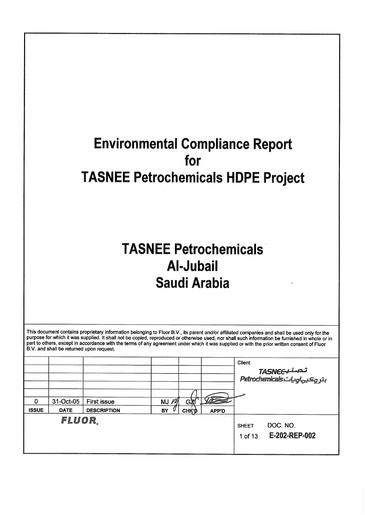## **Environmental Compliance Report** for **TASNEE Petrochemicals HDPE Project**

# **TASNEE Petrochemicals Al-Jubail Saudi Arabia**

This document contains proprietary information belonging to Fluor B.V., its parent and/or affiliated companies and shall be used only for the purpose for which it was supplied. It shall not be copied, reproduced or otherwi part to others, except in accordance with the terms of any agreement under which it was supplied or with the prior written consent of Fluor B.V. and shall be returned upon request.

|              |             |                    |          |              |       | Client                  |                           |
|--------------|-------------|--------------------|----------|--------------|-------|-------------------------|---------------------------|
|              |             |                    |          |              |       |                         |                           |
| 0            | 31-Oct-05   | <b>First issue</b> | $MJ$ $M$ | GX           |       |                         |                           |
| <b>ISSUE</b> | <b>DATE</b> | <b>DESCRIPTION</b> | BY       | <b>СНҚ'Ф</b> | APP'D |                         |                           |
|              | FLUOR.      |                    |          |              |       | <b>SHEET</b><br>1 of 13 | DOC. NO.<br>E-202-REP-002 |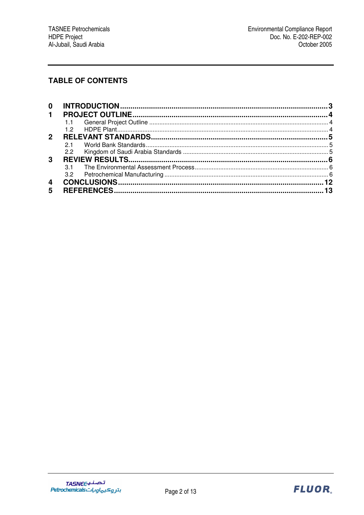## **TABLE OF CONTENTS**

| 0           |     |  |
|-------------|-----|--|
| $\mathbf 1$ |     |  |
|             |     |  |
|             | 12  |  |
| 2           |     |  |
|             | 21  |  |
|             | 2.2 |  |
| 3           |     |  |
|             |     |  |
|             | 3.2 |  |
| 4           |     |  |
| 5           |     |  |

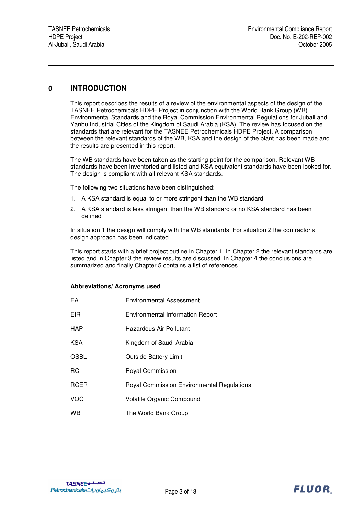## **0 INTRODUCTION**

This report describes the results of a review of the environmental aspects of the design of the TASNEE Petrochemicals HDPE Project in conjunction with the World Bank Group (WB) Environmental Standards and the Royal Commission Environmental Regulations for Jubail and Yanbu Industrial Cities of the Kingdom of Saudi Arabia (KSA). The review has focused on the standards that are relevant for the TASNEE Petrochemicals HDPE Project. A comparison between the relevant standards of the WB, KSA and the design of the plant has been made and the results are presented in this report.

The WB standards have been taken as the starting point for the comparison. Relevant WB standards have been inventoried and listed and KSA equivalent standards have been looked for. The design is compliant with all relevant KSA standards.

The following two situations have been distinguished:

- 1. A KSA standard is equal to or more stringent than the WB standard
- 2. A KSA standard is less stringent than the WB standard or no KSA standard has been defined

In situation 1 the design will comply with the WB standards. For situation 2 the contractor's design approach has been indicated.

This report starts with a brief project outline in Chapter 1. In Chapter 2 the relevant standards are listed and in Chapter 3 the review results are discussed. In Chapter 4 the conclusions are summarized and finally Chapter 5 contains a list of references.

#### **Abbreviations/ Acronyms used**

| EA          | Environmental Assessment                          |
|-------------|---------------------------------------------------|
| EIR         | <b>Environmental Information Report</b>           |
| HAP         | Hazardous Air Pollutant                           |
| KSA         | Kingdom of Saudi Arabia                           |
| <b>OSBL</b> | <b>Outside Battery Limit</b>                      |
| RC.         | Royal Commission                                  |
| <b>RCER</b> | <b>Royal Commission Environmental Regulations</b> |
| <b>VOC</b>  | Volatile Organic Compound                         |
| <b>WB</b>   | The World Bank Group                              |

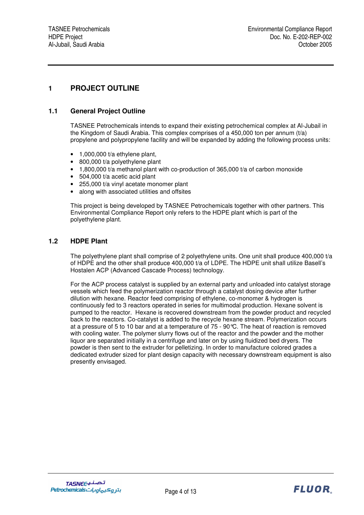## **1 PROJECT OUTLINE**

### **1.1 General Project Outline**

TASNEE Petrochemicals intends to expand their existing petrochemical complex at Al-Jubail in the Kingdom of Saudi Arabia. This complex comprises of a 450,000 ton per annum (t/a) propylene and polypropylene facility and will be expanded by adding the following process units:

- $\bullet$  1,000,000 t/a ethylene plant,
- 800,000 t/a polyethylene plant
- 1,800,000 t/a methanol plant with co-production of 365,000 t/a of carbon monoxide
- 504,000 t/a acetic acid plant
- 255,000 t/a vinyl acetate monomer plant
- along with associated utilities and offsites

This project is being developed by TASNEE Petrochemicals together with other partners. This Environmental Compliance Report only refers to the HDPE plant which is part of the polyethylene plant.

#### **1.2 HDPE Plant**

The polyethylene plant shall comprise of 2 polyethylene units. One unit shall produce 400,000 t/a of HDPE and the other shall produce 400,000 t/a of LDPE. The HDPE unit shall utilize Basell's Hostalen ACP (Advanced Cascade Process) technology.

For the ACP process catalyst is supplied by an external party and unloaded into catalyst storage vessels which feed the polymerization reactor through a catalyst dosing device after further dilution with hexane. Reactor feed comprising of ethylene, co-monomer & hydrogen is continuously fed to 3 reactors operated in series for multimodal production. Hexane solvent is pumped to the reactor. Hexane is recovered downstream from the powder product and recycled back to the reactors. Co-catalyst is added to the recycle hexane stream. Polymerization occurs at a pressure of 5 to 10 bar and at a temperature of 75 - 90°C. The heat of reaction is removed with cooling water. The polymer slurry flows out of the reactor and the powder and the mother liquor are separated initially in a centrifuge and later on by using fluidized bed dryers. The powder is then sent to the extruder for pelletizing. In order to manufacture colored grades a dedicated extruder sized for plant design capacity with necessary downstream equipment is also presently envisaged.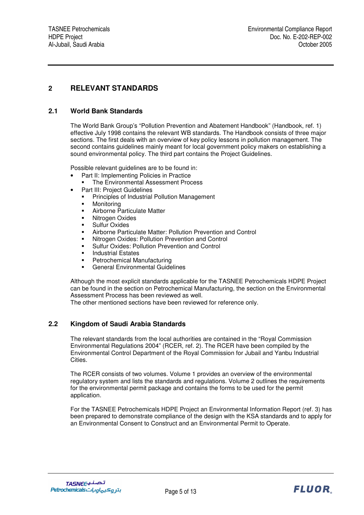## **2 RELEVANT STANDARDS**

### **2.1 World Bank Standards**

The World Bank Group's "Pollution Prevention and Abatement Handbook" (Handbook, ref. 1) effective July 1998 contains the relevant WB standards. The Handbook consists of three major sections. The first deals with an overview of key policy lessons in pollution management. The second contains guidelines mainly meant for local government policy makers on establishing a sound environmental policy. The third part contains the Project Guidelines.

Possible relevant guidelines are to be found in:

- Part II: Implementing Policies in Practice
	- The Environmental Assessment Process
- Part III: Project Guidelines
	- **Principles of Industrial Pollution Management**
	- **•** Monitoring
- Airborne Particulate Matter
- Nitrogen Oxides
- **Sulfur Oxides**
- Airborne Particulate Matter: Pollution Prevention and Control
- Nitrogen Oxides: Pollution Prevention and Control
- Sulfur Oxides: Pollution Prevention and Control
- Industrial Estates
- Petrochemical Manufacturing
- General Environmental Guidelines

Although the most explicit standards applicable for the TASNEE Petrochemicals HDPE Project can be found in the section on Petrochemical Manufacturing, the section on the Environmental Assessment Process has been reviewed as well.

The other mentioned sections have been reviewed for reference only.

## **2.2 Kingdom of Saudi Arabia Standards**

The relevant standards from the local authorities are contained in the "Royal Commission Environmental Regulations 2004" (RCER, ref. 2). The RCER have been compiled by the Environmental Control Department of the Royal Commission for Jubail and Yanbu Industrial Cities.

The RCER consists of two volumes. Volume 1 provides an overview of the environmental regulatory system and lists the standards and regulations. Volume 2 outlines the requirements for the environmental permit package and contains the forms to be used for the permit application.

For the TASNEE Petrochemicals HDPE Project an Environmental Information Report (ref. 3) has been prepared to demonstrate compliance of the design with the KSA standards and to apply for an Environmental Consent to Construct and an Environmental Permit to Operate.

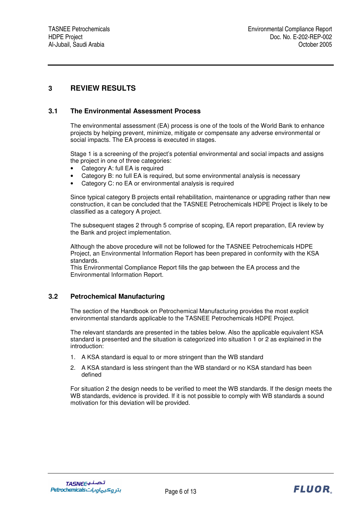## **3 REVIEW RESULTS**

### **3.1 The Environmental Assessment Process**

The environmental assessment (EA) process is one of the tools of the World Bank to enhance projects by helping prevent, minimize, mitigate or compensate any adverse environmental or social impacts. The EA process is executed in stages.

Stage 1 is a screening of the project's potential environmental and social impacts and assigns the project in one of three categories:

- Category A: full EA is required
- Category B: no full EA is required, but some environmental analysis is necessary
- Category C: no EA or environmental analysis is required

Since typical category B projects entail rehabilitation, maintenance or upgrading rather than new construction, it can be concluded that the TASNEE Petrochemicals HDPE Project is likely to be classified as a category A project.

The subsequent stages 2 through 5 comprise of scoping, EA report preparation, EA review by the Bank and project implementation.

Although the above procedure will not be followed for the TASNEE Petrochemicals HDPE Project, an Environmental Information Report has been prepared in conformity with the KSA standards.

This Environmental Compliance Report fills the gap between the EA process and the Environmental Information Report.

## **3.2 Petrochemical Manufacturing**

The section of the Handbook on Petrochemical Manufacturing provides the most explicit environmental standards applicable to the TASNEE Petrochemicals HDPE Project.

The relevant standards are presented in the tables below. Also the applicable equivalent KSA standard is presented and the situation is categorized into situation 1 or 2 as explained in the introduction:

- 1. A KSA standard is equal to or more stringent than the WB standard
- 2. A KSA standard is less stringent than the WB standard or no KSA standard has been defined

For situation 2 the design needs to be verified to meet the WB standards. If the design meets the WB standards, evidence is provided. If it is not possible to comply with WB standards a sound motivation for this deviation will be provided.

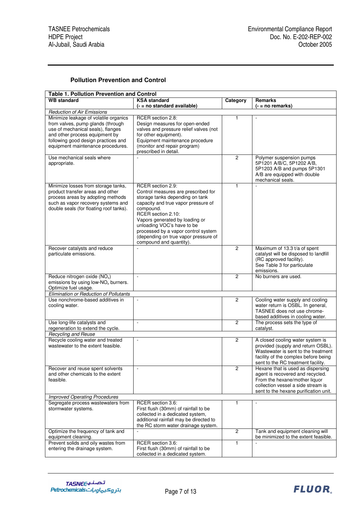## **Pollution Prevention and Control**

| <b>Table 1. Pollution Prevention and Control</b>                                                                                                                                                                              |                                                                                                                                                                                                                                                                                                                                                 |                |                                                                                                                                                                                             |  |  |  |  |
|-------------------------------------------------------------------------------------------------------------------------------------------------------------------------------------------------------------------------------|-------------------------------------------------------------------------------------------------------------------------------------------------------------------------------------------------------------------------------------------------------------------------------------------------------------------------------------------------|----------------|---------------------------------------------------------------------------------------------------------------------------------------------------------------------------------------------|--|--|--|--|
| <b>WB</b> standard                                                                                                                                                                                                            | <b>KSA</b> standard                                                                                                                                                                                                                                                                                                                             | Category       | <b>Remarks</b>                                                                                                                                                                              |  |  |  |  |
|                                                                                                                                                                                                                               | (- = no standard available)                                                                                                                                                                                                                                                                                                                     |                | (- = no remarks)                                                                                                                                                                            |  |  |  |  |
| <b>Reduction of Air Emissions</b>                                                                                                                                                                                             |                                                                                                                                                                                                                                                                                                                                                 |                |                                                                                                                                                                                             |  |  |  |  |
| Minimize leakage of volatile organics<br>from valves, pump glands (through<br>use of mechanical seals), flanges<br>and other process equipment by<br>following good design practices and<br>equipment maintenance procedures. | RCER section 2.8:<br>Design measures for open-ended<br>valves and pressure relief valves (not<br>for other equipment).<br>Equipment maintenance procedure<br>(monitor and repair program)<br>prescribed in detail.                                                                                                                              | $\mathbf{1}$   |                                                                                                                                                                                             |  |  |  |  |
| Use mechanical seals where<br>appropriate.                                                                                                                                                                                    |                                                                                                                                                                                                                                                                                                                                                 | $\mathbf{2}$   | Polymer suspension pumps<br>5P1201 A/B/C, 5P1202 A/B,<br>5P1203 A/B and pumps 5P1301<br>A/B are equipped with double<br>mechanical seals.                                                   |  |  |  |  |
| Minimize losses from storage tanks,<br>product transfer areas and other<br>process areas by adopting methods<br>such as vapor recovery systems and<br>double seals (for floating roof tanks).                                 | RCER section 2.9:<br>Control measures are prescribed for<br>storage tanks depending on tank<br>capacity and true vapor pressure of<br>compound.<br>RCER section 2.10:<br>Vapors generated by loading or<br>unloading VOC's have to be<br>processed by a vapor control system<br>(depending on true vapor pressure of<br>compound and quantity). | 1              |                                                                                                                                                                                             |  |  |  |  |
| Recover catalysts and reduce<br>particulate emissions.                                                                                                                                                                        |                                                                                                                                                                                                                                                                                                                                                 | $\overline{2}$ | Maximum of 13.3 t/a of spent<br>catalyst will be disposed to landfill<br>(RC approved facility).<br>See Table 3 for particulate<br>emissions.                                               |  |  |  |  |
| Reduce nitrogen oxide (NO <sub>x</sub> )<br>emissions by using low- $NOx$ burners.<br>Optimize fuel usage.                                                                                                                    | $\mathbf{r}$                                                                                                                                                                                                                                                                                                                                    | 2              | No burners are used.                                                                                                                                                                        |  |  |  |  |
| Elimination or Reduction of Pollutants                                                                                                                                                                                        |                                                                                                                                                                                                                                                                                                                                                 |                |                                                                                                                                                                                             |  |  |  |  |
| Use nonchrome-based additives in<br>cooling water.                                                                                                                                                                            | ÷,                                                                                                                                                                                                                                                                                                                                              | $\overline{2}$ | Cooling water supply and cooling<br>water return is OSBL. In general,<br>TASNEE does not use chrome-<br>based additives in cooling water.                                                   |  |  |  |  |
| Use long-life catalysts and<br>regeneration to extend the cycle.                                                                                                                                                              | $\overline{\phantom{a}}$                                                                                                                                                                                                                                                                                                                        | $\overline{2}$ | The process sets the type of<br>catalyst.                                                                                                                                                   |  |  |  |  |
| <b>Recycling and Reuse</b>                                                                                                                                                                                                    |                                                                                                                                                                                                                                                                                                                                                 |                |                                                                                                                                                                                             |  |  |  |  |
| Recycle cooling water and treated<br>wastewater to the extent feasible.                                                                                                                                                       |                                                                                                                                                                                                                                                                                                                                                 | $\mathbf{2}$   | A closed cooling water system is<br>provided (supply and return OSBL).<br>Wastewater is sent to the treatment<br>facility of the complex before being<br>sent to the RC treatment facility. |  |  |  |  |
| Recover and reuse spent solvents<br>and other chemicals to the extent<br>feasible.                                                                                                                                            |                                                                                                                                                                                                                                                                                                                                                 | $\mathbf{2}$   | Hexane that is used as dispersing<br>agent is recovered and recycled.<br>From the hexane/mother liquor<br>collection vessel a side stream is<br>sent to the hexane purification unit.       |  |  |  |  |
| <b>Improved Operating Procedures</b>                                                                                                                                                                                          |                                                                                                                                                                                                                                                                                                                                                 |                |                                                                                                                                                                                             |  |  |  |  |
| Segregate process wastewaters from<br>stormwater systems.                                                                                                                                                                     | RCER section 3.6:<br>First flush (30mm) of rainfall to be<br>collected in a dedicated system,<br>additional rainfall may be directed to<br>the RC storm water drainage system.                                                                                                                                                                  | $\mathbf{1}$   | $\overline{\phantom{a}}$                                                                                                                                                                    |  |  |  |  |
| Optimize the frequency of tank and<br>equipment cleaning.                                                                                                                                                                     |                                                                                                                                                                                                                                                                                                                                                 | $\mathbf{2}$   | Tank and equipment cleaning will<br>be minimized to the extent feasible.                                                                                                                    |  |  |  |  |
| Prevent solids and oily wastes from<br>entering the drainage system.                                                                                                                                                          | RCER section 3.6:<br>First flush (30mm) of rainfall to be<br>collected in a dedicated system.                                                                                                                                                                                                                                                   | $\mathbf{1}$   |                                                                                                                                                                                             |  |  |  |  |

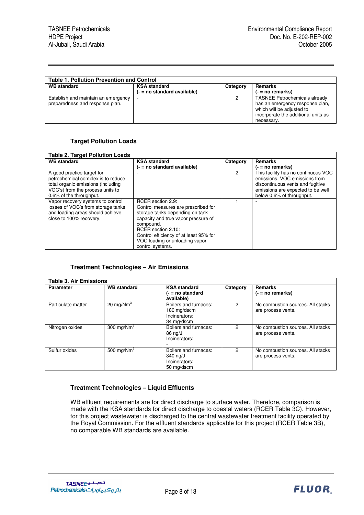| <b>Table 1. Pollution Prevention and Control</b>                       |                               |          |                                                                                                                                                           |  |  |
|------------------------------------------------------------------------|-------------------------------|----------|-----------------------------------------------------------------------------------------------------------------------------------------------------------|--|--|
| <b>WB standard</b>                                                     | <b>KSA standard</b>           | Category | Remarks                                                                                                                                                   |  |  |
|                                                                        | $(-$ = no standard available) |          | $( - = no$ remarks)                                                                                                                                       |  |  |
| Establish and maintain an emergency<br>preparedness and response plan. |                               |          | <b>TASNEE Petrochemicals already</b><br>has an emergency response plan,<br>which will be adjusted to<br>incorporate the additional units as<br>necessary. |  |  |

## **Target Pollution Loads**

| <b>Table 2. Target Pollution Loads</b> |                                        |          |                                     |  |  |  |
|----------------------------------------|----------------------------------------|----------|-------------------------------------|--|--|--|
| <b>WB</b> standard                     | <b>KSA</b> standard                    | Category | <b>Remarks</b>                      |  |  |  |
|                                        | (- = no standard available)            |          | (- = no remarks)                    |  |  |  |
| A good practice target for             |                                        | 2        | This facility has no continuous VOC |  |  |  |
| petrochemical complex is to reduce     |                                        |          | emissions. VOC emissions from       |  |  |  |
| total organic emissions (including     |                                        |          | discontinuous vents and fugitive    |  |  |  |
| VOC's) from the process units to       |                                        |          | emissions are expected to be well   |  |  |  |
| 0.6% of the throughput.                |                                        |          | below 0.6% of throughput.           |  |  |  |
| Vapor recovery systems to control      | RCER section 2.9:                      |          |                                     |  |  |  |
| losses of VOC's from storage tanks     | Control measures are prescribed for    |          |                                     |  |  |  |
| and loading areas should achieve       | storage tanks depending on tank        |          |                                     |  |  |  |
| close to 100% recovery.                | capacity and true vapor pressure of    |          |                                     |  |  |  |
|                                        | compound.                              |          |                                     |  |  |  |
|                                        | RCER section 2.10:                     |          |                                     |  |  |  |
|                                        | Control efficiency of at least 95% for |          |                                     |  |  |  |
|                                        | VOC loading or unloading vapor         |          |                                     |  |  |  |
|                                        | control systems.                       |          |                                     |  |  |  |

#### **Treatment Technologies – Air Emissions**

| <b>Table 3. Air Emissions</b> |                    |                                                                     |          |                                                         |  |  |
|-------------------------------|--------------------|---------------------------------------------------------------------|----------|---------------------------------------------------------|--|--|
| <b>Parameter</b>              | <b>WB</b> standard | <b>KSA standard</b><br>$(-$ = no standard<br>available)             | Category | <b>Remarks</b><br>$( - = no$ remarks)                   |  |  |
| Particulate matter            | 20 mg/ $Nm3$       | Boilers and furnaces:<br>180 mg/dscm<br>Incinerators:<br>34 mg/dscm | 2        | No combustion sources. All stacks<br>are process vents. |  |  |
| Nitrogen oxides               | 300 mg/ $Nm^3$     | Boilers and furnaces:<br>86 ng/J<br>Incinerators:                   |          | No combustion sources. All stacks<br>are process vents. |  |  |
| Sulfur oxides                 | 500 mg/Nm $3$      | Boilers and furnaces:<br>340 ng/J<br>Incinerators:<br>50 mg/dscm    | 2        | No combustion sources. All stacks<br>are process vents. |  |  |

#### **Treatment Technologies – Liquid Effluents**

WB effluent requirements are for direct discharge to surface water. Therefore, comparison is made with the KSA standards for direct discharge to coastal waters (RCER Table 3C). However, for this project wastewater is discharged to the central wastewater treatment facility operated by the Royal Commission. For the effluent standards applicable for this project (RCER Table 3B), no comparable WB standards are available.

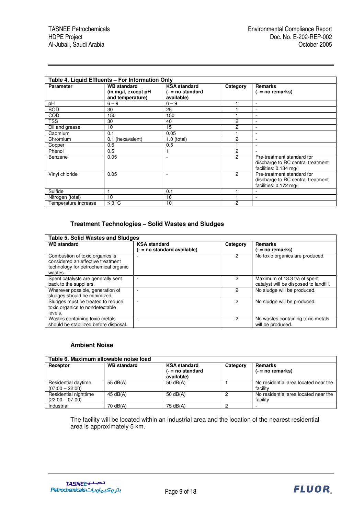| Table 4. Liquid Effluents - For Information Only |                                         |                                  |                |                                                                                           |  |
|--------------------------------------------------|-----------------------------------------|----------------------------------|----------------|-------------------------------------------------------------------------------------------|--|
| <b>Parameter</b>                                 | <b>WB</b> standard                      | <b>KSA standard</b>              | Category       | <b>Remarks</b>                                                                            |  |
|                                                  | (in mg/l, except pH<br>and temperature) | $(-$ = no standard<br>available) |                | $(- = no$ remarks)                                                                        |  |
| рH                                               | $6 - 9$                                 | $6 - 9$                          |                | ٠                                                                                         |  |
| <b>BOD</b>                                       | 30                                      | 25                               |                | ٠                                                                                         |  |
| COD                                              | 150                                     | 150                              |                | $\overline{\phantom{a}}$                                                                  |  |
| TSS                                              | 30                                      | 40                               | 2              | $\sim$                                                                                    |  |
| Oil and grease                                   | 10                                      | 15                               | 2              | $\overline{\phantom{a}}$                                                                  |  |
| Cadmium                                          | 0.1                                     | 0.05                             |                | ٠                                                                                         |  |
| Chromium                                         | (hexavalent)<br>0.1                     | $1.0$ (total)                    | 2              | ٠                                                                                         |  |
| Copper                                           | 0.5                                     | 0.5                              |                | $\overline{\phantom{a}}$                                                                  |  |
| Phenol                                           | 0.5                                     |                                  | 2              |                                                                                           |  |
| Benzene                                          | 0.05                                    | ٠                                | $\overline{2}$ | Pre-treatment standard for<br>discharge to RC central treatment<br>facilities: 0.134 mg/l |  |
| Vinyl chloride                                   | 0.05                                    | ٠                                | $\mathfrak{p}$ | Pre-treatment standard for<br>discharge to RC central treatment<br>facilities: 0.172 mg/l |  |
| Sulfide                                          |                                         | 0.1                              |                | $\overline{\phantom{a}}$                                                                  |  |
| Nitrogen (total)                                 | 10                                      | 10                               |                | $\blacksquare$                                                                            |  |
| Temperature increase                             | $\leq 3^{\circ}C$                       | 10                               | 2              |                                                                                           |  |

#### **Treatment Technologies – Solid Wastes and Sludges**

| <b>Table 5. Solid Wastes and Sludges</b>                                                                                |                                                    |          |                                                                        |  |  |
|-------------------------------------------------------------------------------------------------------------------------|----------------------------------------------------|----------|------------------------------------------------------------------------|--|--|
| <b>WB</b> standard                                                                                                      | <b>KSA</b> standard<br>(- = no standard available) | Category | <b>Remarks</b><br>$( - = no$ remarks)                                  |  |  |
| Combustion of toxic organics is<br>considered an effective treatment<br>technology for petrochemical organic<br>wastes. |                                                    | 2        | No toxic organics are produced.                                        |  |  |
| Spent catalysts are generally sent<br>back to the suppliers.                                                            |                                                    | 2        | Maximum of 13.3 t/a of spent<br>catalyst will be disposed to landfill. |  |  |
| Wherever possible, generation of<br>sludges should be minimized.                                                        |                                                    |          | No sludge will be produced.                                            |  |  |
| Sludges must be treated to reduce<br>toxic organics to nondetectable<br>levels.                                         |                                                    |          | No sludge will be produced.                                            |  |  |
| Wastes containing toxic metals<br>should be stabilized before disposal.                                                 |                                                    | 2        | No wastes containing toxic metals<br>will be produced.                 |  |  |

#### **Ambient Noise**

| Table 6. Maximum allowable noise load      |                    |                                                         |          |                                                  |  |  |  |
|--------------------------------------------|--------------------|---------------------------------------------------------|----------|--------------------------------------------------|--|--|--|
| Receptor                                   | <b>WB</b> standard | <b>KSA</b> standard<br>$(-$ = no standard<br>available) | Category | <b>Remarks</b><br>$(- = no$ remarks)             |  |  |  |
| Residential daytime<br>$(07:00 - 22:00)$   | 55 $dB(A)$         | 50 $dB(A)$                                              |          | No residential area located near the<br>facility |  |  |  |
| Residential nighttime<br>$(22:00 - 07:00)$ | 45 dB(A)           | 50 $dB(A)$                                              | 0        | No residential area located near the<br>facility |  |  |  |
| Industrial                                 | 70 dB(A)           | 75 dB(A)                                                | 2        |                                                  |  |  |  |

The facility will be located within an industrial area and the location of the nearest residential area is approximately 5 km.

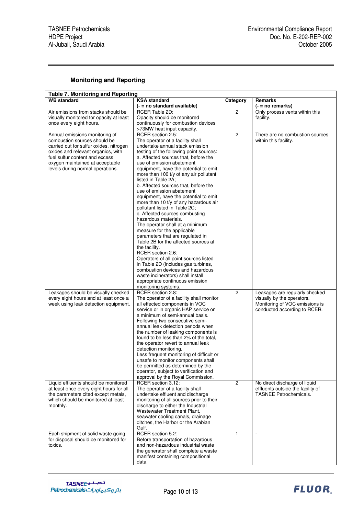## **Monitoring and Reporting**

| <b>Table 7. Monitoring and Reporting</b> |                                          |                |                                   |  |  |  |  |
|------------------------------------------|------------------------------------------|----------------|-----------------------------------|--|--|--|--|
| <b>WB</b> standard                       | <b>KSA</b> standard                      | Category       | Remarks                           |  |  |  |  |
|                                          | (- = no standard available)              |                | $(- = no$ remarks)                |  |  |  |  |
| Air emissions from stacks should be      | RCER Table 2D:                           | $\overline{c}$ | Only process vents within this    |  |  |  |  |
| visually monitored for opacity at least  | Opacity should be monitored              |                | facility.                         |  |  |  |  |
| once every eight hours.                  | continuously for combustion devices      |                |                                   |  |  |  |  |
|                                          | >73MW heat input capacity.               |                |                                   |  |  |  |  |
| Annual emissions monitoring of           | RCER section 2.5:                        | $\overline{c}$ | There are no combustion sources   |  |  |  |  |
| combustion sources should be             | The operator of a facility shall         |                | within this facility.             |  |  |  |  |
| carried out for sulfur oxides, nitrogen  | undertake annual stack emission          |                |                                   |  |  |  |  |
| oxides and relevant organics, with       | testing of the following point sources:  |                |                                   |  |  |  |  |
| fuel sulfur content and excess           | a. Affected sources that, before the     |                |                                   |  |  |  |  |
| oxygen maintained at acceptable          | use of emission abatement                |                |                                   |  |  |  |  |
| levels during normal operations.         | equipment, have the potential to emit    |                |                                   |  |  |  |  |
|                                          | more than 100 t/y of any air pollutant   |                |                                   |  |  |  |  |
|                                          | listed in Table 2A;                      |                |                                   |  |  |  |  |
|                                          | b. Affected sources that, before the     |                |                                   |  |  |  |  |
|                                          | use of emission abatement                |                |                                   |  |  |  |  |
|                                          | equipment, have the potential to emit    |                |                                   |  |  |  |  |
|                                          | more than 10 t/y of any hazardous air    |                |                                   |  |  |  |  |
|                                          | pollutant listed in Table 2C;            |                |                                   |  |  |  |  |
|                                          | c. Affected sources combusting           |                |                                   |  |  |  |  |
|                                          | hazardous materials.                     |                |                                   |  |  |  |  |
|                                          | The operator shall at a minimum          |                |                                   |  |  |  |  |
|                                          | measure for the applicable               |                |                                   |  |  |  |  |
|                                          | parameters that are regulated in         |                |                                   |  |  |  |  |
|                                          | Table 2B for the affected sources at     |                |                                   |  |  |  |  |
|                                          | the facility.                            |                |                                   |  |  |  |  |
|                                          | RCER section 2.6:                        |                |                                   |  |  |  |  |
|                                          | Operators of all point sources listed    |                |                                   |  |  |  |  |
|                                          | in Table 2D (includes gas turbines,      |                |                                   |  |  |  |  |
|                                          | combustion devices and hazardous         |                |                                   |  |  |  |  |
|                                          | waste incinerators) shall install        |                |                                   |  |  |  |  |
|                                          | appropriate continuous emission          |                |                                   |  |  |  |  |
|                                          | monitoring systems.                      |                |                                   |  |  |  |  |
| Leakages should be visually checked      | RCER section 2.8:                        | $\overline{2}$ | Leakages are regularly checked    |  |  |  |  |
| every eight hours and at least once a    | The operator of a facility shall monitor |                | visually by the operators.        |  |  |  |  |
| week using leak detection equipment.     | all effected components in VOC           |                | Monitoring of VOC emissions is    |  |  |  |  |
|                                          | service or in organic HAP service on     |                | conducted according to RCER.      |  |  |  |  |
|                                          | a minimum of semi-annual basis.          |                |                                   |  |  |  |  |
|                                          | Following two consecutive semi-          |                |                                   |  |  |  |  |
|                                          | annual leak detection periods when       |                |                                   |  |  |  |  |
|                                          | the number of leaking components is      |                |                                   |  |  |  |  |
|                                          | found to be less than 2% of the total,   |                |                                   |  |  |  |  |
|                                          | the operator revert to annual leak       |                |                                   |  |  |  |  |
|                                          | detection monitoring.                    |                |                                   |  |  |  |  |
|                                          | Less frequent monitoring of difficult or |                |                                   |  |  |  |  |
|                                          | unsafe to monitor components shall       |                |                                   |  |  |  |  |
|                                          | be permitted as determined by the        |                |                                   |  |  |  |  |
|                                          | operator, subject to verification and    |                |                                   |  |  |  |  |
|                                          | approval by the Royal Commission.        |                |                                   |  |  |  |  |
| Liquid effluents should be monitored     | RCER section 3.12:                       | $\overline{2}$ | No direct discharge of liquid     |  |  |  |  |
| at least once every eight hours for all  | The operator of a facility shall         |                | effluents outside the facility of |  |  |  |  |
| the parameters cited except metals,      | undertake effluent and discharge         |                | <b>TASNEE Petrochemicals.</b>     |  |  |  |  |
| which should be monitored at least       | monitoring of all sources prior to their |                |                                   |  |  |  |  |
| monthly.                                 | discharge to either the Industrial       |                |                                   |  |  |  |  |
|                                          | Wastewater Treatment Plant,              |                |                                   |  |  |  |  |
|                                          | seawater cooling canals, drainage        |                |                                   |  |  |  |  |
|                                          | ditches, the Harbor or the Arabian       |                |                                   |  |  |  |  |
|                                          | Gulf.                                    |                |                                   |  |  |  |  |
| Each shipment of solid waste going       | RCER section 5.2:                        | 1              | $\overline{\phantom{a}}$          |  |  |  |  |
| for disposal should be monitored for     | Before transportation of hazardous       |                |                                   |  |  |  |  |
| toxics.                                  | and non-hazardous industrial waste       |                |                                   |  |  |  |  |
|                                          | the generator shall complete a waste     |                |                                   |  |  |  |  |
|                                          | manifest containing compositional        |                |                                   |  |  |  |  |
|                                          | data.                                    |                |                                   |  |  |  |  |

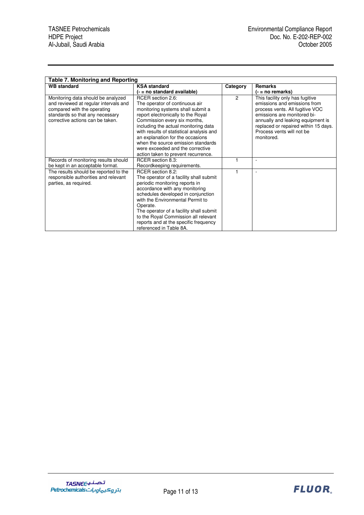| <b>Table 7. Monitoring and Reporting</b>                                                                                                                                                                                                                                                                                                                         |                                                                                               |                                                                                                                                                                                                                                                           |
|------------------------------------------------------------------------------------------------------------------------------------------------------------------------------------------------------------------------------------------------------------------------------------------------------------------------------------------------------------------|-----------------------------------------------------------------------------------------------|-----------------------------------------------------------------------------------------------------------------------------------------------------------------------------------------------------------------------------------------------------------|
| <b>KSA</b> standard                                                                                                                                                                                                                                                                                                                                              | Category                                                                                      | <b>Remarks</b>                                                                                                                                                                                                                                            |
| (- = no standard available)                                                                                                                                                                                                                                                                                                                                      |                                                                                               | $( - = no$ remarks)                                                                                                                                                                                                                                       |
| RCER section 2.6:<br>The operator of continuous air<br>monitoring systems shall submit a<br>report electronically to the Royal<br>Commission every six months,<br>including the actual monitoring data<br>with results of statistical analysis and<br>an explanation for the occasions<br>when the source emission standards<br>were exceeded and the corrective | $\overline{2}$                                                                                | This facility only has fugitive<br>emissions and emissions from<br>process vents. All fugitive VOC<br>emissions are monitored bi-<br>annually and leaking equipment is<br>replaced or repaired within 15 days.<br>Process vents will not be<br>monitored. |
| RCER section 8.3:                                                                                                                                                                                                                                                                                                                                                |                                                                                               | ٠                                                                                                                                                                                                                                                         |
|                                                                                                                                                                                                                                                                                                                                                                  |                                                                                               |                                                                                                                                                                                                                                                           |
| RCER section 8.2:<br>The operator of a facility shall submit<br>periodic monitoring reports in<br>accordance with any monitoring<br>schedules developed in conjunction<br>with the Environmental Permit to<br>Operate.<br>The operator of a facility shall submit<br>to the Royal Commission all relevant<br>reports and at the specific frequency               |                                                                                               | $\overline{a}$                                                                                                                                                                                                                                            |
|                                                                                                                                                                                                                                                                                                                                                                  | action taken to prevent recurrence.<br>Recordkeeping requirements.<br>referenced in Table 8A. |                                                                                                                                                                                                                                                           |

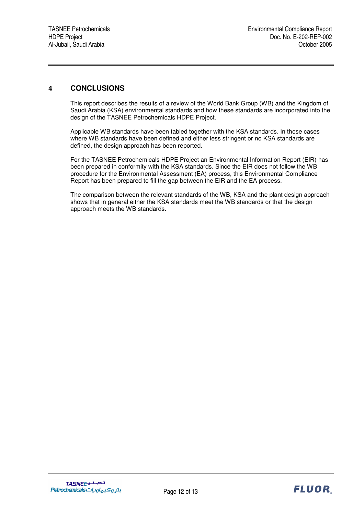## **4 CONCLUSIONS**

This report describes the results of a review of the World Bank Group (WB) and the Kingdom of Saudi Arabia (KSA) environmental standards and how these standards are incorporated into the design of the TASNEE Petrochemicals HDPE Project.

Applicable WB standards have been tabled together with the KSA standards. In those cases where WB standards have been defined and either less stringent or no KSA standards are defined, the design approach has been reported.

For the TASNEE Petrochemicals HDPE Project an Environmental Information Report (EIR) has been prepared in conformity with the KSA standards. Since the EIR does not follow the WB procedure for the Environmental Assessment (EA) process, this Environmental Compliance Report has been prepared to fill the gap between the EIR and the EA process.

The comparison between the relevant standards of the WB, KSA and the plant design approach shows that in general either the KSA standards meet the WB standards or that the design approach meets the WB standards.